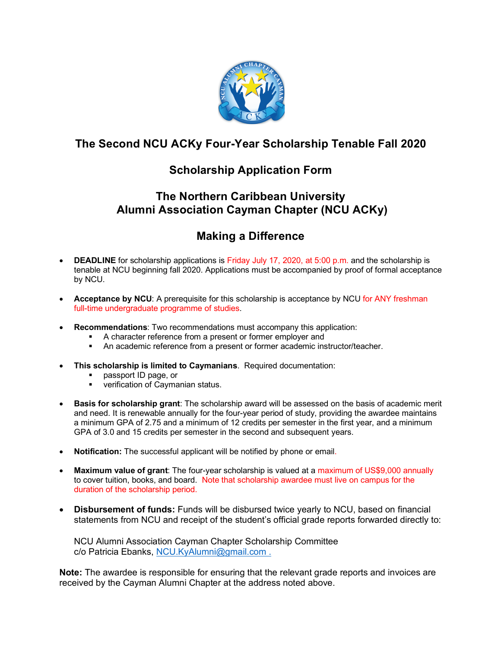

# **The Second NCU ACKy Four-Year Scholarship Tenable Fall 2020**

# **Scholarship Application Form**

## **The Northern Caribbean University Alumni Association Cayman Chapter (NCU ACKy)**

# **Making a Difference**

- **DEADLINE** for scholarship applications is Friday July 17, 2020, at 5:00 p.m. and the scholarship is tenable at NCU beginning fall 2020. Applications must be accompanied by proof of formal acceptance by NCU.
- **Acceptance by NCU**: A prerequisite for this scholarship is acceptance by NCU for ANY freshman full-time undergraduate programme of studies.
- **Recommendations**: Two recommendations must accompany this application:
	- A character reference from a present or former employer and
	- **An academic reference from a present or former academic instructor/teacher.**
- **This scholarship is limited to Caymanians**. Required documentation:
	- § passport ID page, or
	- verification of Caymanian status.
- **Basis for scholarship grant**: The scholarship award will be assessed on the basis of academic merit and need. It is renewable annually for the four-year period of study, providing the awardee maintains a minimum GPA of 2.75 and a minimum of 12 credits per semester in the first year, and a minimum GPA of 3.0 and 15 credits per semester in the second and subsequent years.
- **Notification:** The successful applicant will be notified by phone or email.
- **Maximum value of grant**: The four-year scholarship is valued at a maximum of US\$9,000 annually to cover tuition, books, and board. Note that scholarship awardee must live on campus for the duration of the scholarship period.
- **Disbursement of funds:** Funds will be disbursed twice yearly to NCU, based on financial statements from NCU and receipt of the student's official grade reports forwarded directly to:

NCU Alumni Association Cayman Chapter Scholarship Committee c/o Patricia Ebanks, NCU.KyAlumni@gmail.com .

**Note:** The awardee is responsible for ensuring that the relevant grade reports and invoices are received by the Cayman Alumni Chapter at the address noted above.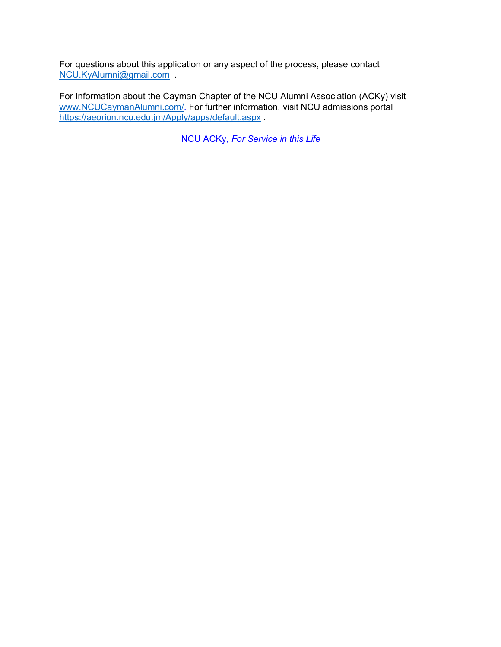For questions about this application or any aspect of the process, please contact NCU.KyAlumni@gmail.com .

For Information about the Cayman Chapter of the NCU Alumni Association (ACKy) visit www.NCUCaymanAlumni.com/. For further information, visit NCU admissions portal https://aeorion.ncu.edu.jm/Apply/apps/default.aspx

NCU ACKy, *For Service in this Life*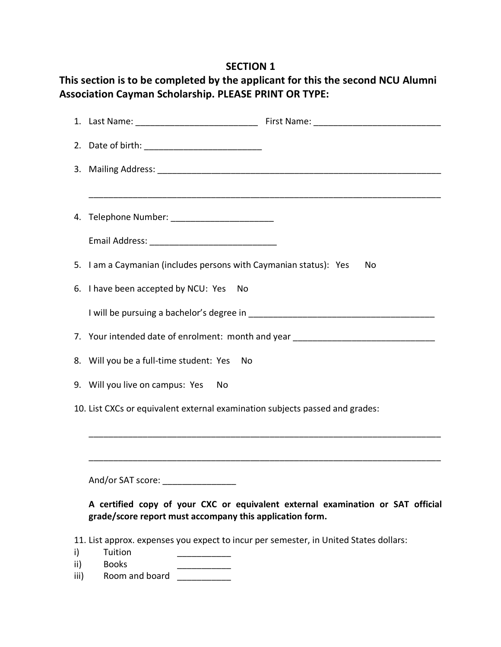## **SECTION 1**

# **This section is to be completed by the applicant for this the second NCU Alumni Association Cayman Scholarship. PLEASE PRINT OR TYPE:**

|                                                                                                                                             | 4. Telephone Number: _________________________                                   |    |  |  |
|---------------------------------------------------------------------------------------------------------------------------------------------|----------------------------------------------------------------------------------|----|--|--|
|                                                                                                                                             |                                                                                  |    |  |  |
|                                                                                                                                             | 5. I am a Caymanian (includes persons with Caymanian status): Yes                | No |  |  |
|                                                                                                                                             | 6. I have been accepted by NCU: Yes<br>No                                        |    |  |  |
|                                                                                                                                             |                                                                                  |    |  |  |
|                                                                                                                                             | 7. Your intended date of enrolment: month and year _____________________________ |    |  |  |
|                                                                                                                                             | 8. Will you be a full-time student: Yes<br>No                                    |    |  |  |
|                                                                                                                                             | 9. Will you live on campus: Yes<br>No                                            |    |  |  |
| 10. List CXCs or equivalent external examination subjects passed and grades:                                                                |                                                                                  |    |  |  |
|                                                                                                                                             |                                                                                  |    |  |  |
|                                                                                                                                             |                                                                                  |    |  |  |
|                                                                                                                                             | And/or SAT score: ___________________                                            |    |  |  |
| A certified copy of your CXC or equivalent external examination or SAT official<br>grade/score report must accompany this application form. |                                                                                  |    |  |  |
| 11. List approx. expenses you expect to incur per semester, in United States dollars:<br>Tuition<br>i)                                      |                                                                                  |    |  |  |
| ii)                                                                                                                                         | <b>Books</b>                                                                     |    |  |  |
| iii)                                                                                                                                        | Room and board                                                                   |    |  |  |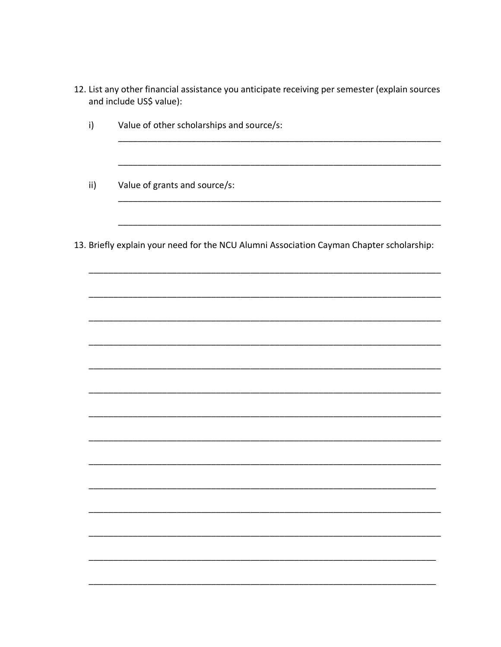- 12. List any other financial assistance you anticipate receiving per semester (explain sources and include US\$ value):
	- Value of other scholarships and source/s:  $\mathsf{i}$
	- $\mathsf{ii}$ Value of grants and source/s:
- 13. Briefly explain your need for the NCU Alumni Association Cayman Chapter scholarship: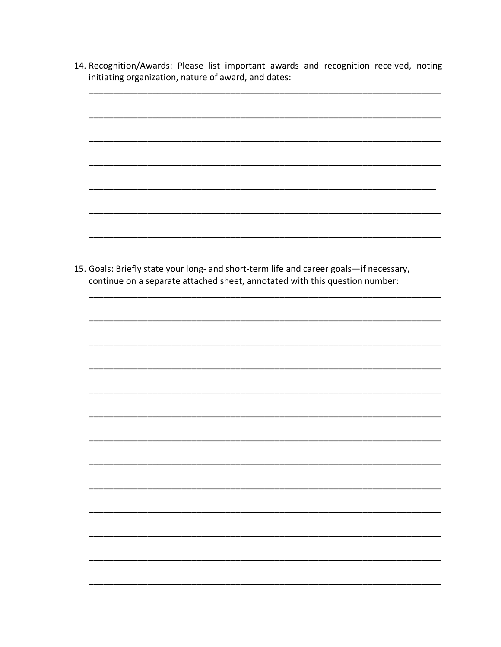- 14. Recognition/Awards: Please list important awards and recognition received, noting initiating organization, nature of award, and dates:
- 15. Goals: Briefly state your long- and short-term life and career goals-if necessary, continue on a separate attached sheet, annotated with this question number: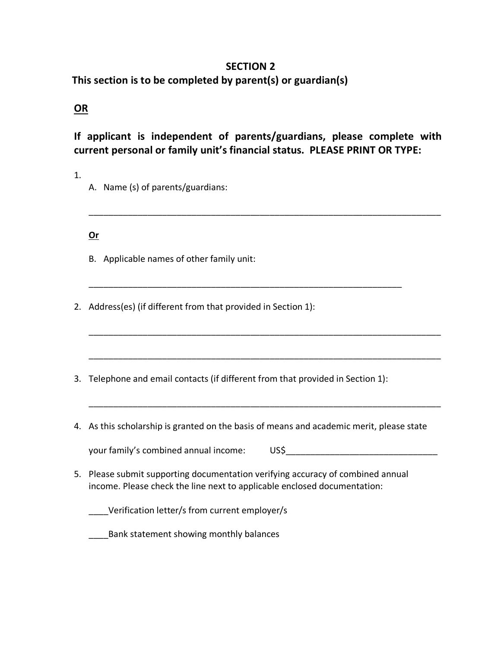### **SECTION 2**

 **This section is to be completed by parent(s) or guardian(s)**

## **OR**

**If applicant is independent of parents/guardians, please complete with current personal or family unit's financial status. PLEASE PRINT OR TYPE:**

\_\_\_\_\_\_\_\_\_\_\_\_\_\_\_\_\_\_\_\_\_\_\_\_\_\_\_\_\_\_\_\_\_\_\_\_\_\_\_\_\_\_\_\_\_\_\_\_\_\_\_\_\_\_\_\_\_\_\_\_\_\_\_\_\_\_\_\_\_\_\_\_

\_\_\_\_\_\_\_\_\_\_\_\_\_\_\_\_\_\_\_\_\_\_\_\_\_\_\_\_\_\_\_\_\_\_\_\_\_\_\_\_\_\_\_\_\_\_\_\_\_\_\_\_\_\_\_\_\_\_\_\_\_\_\_\_\_\_\_\_\_\_\_\_

\_\_\_\_\_\_\_\_\_\_\_\_\_\_\_\_\_\_\_\_\_\_\_\_\_\_\_\_\_\_\_\_\_\_\_\_\_\_\_\_\_\_\_\_\_\_\_\_\_\_\_\_\_\_\_\_\_\_\_\_\_\_\_\_\_\_\_\_\_\_\_\_

\_\_\_\_\_\_\_\_\_\_\_\_\_\_\_\_\_\_\_\_\_\_\_\_\_\_\_\_\_\_\_\_\_\_\_\_\_\_\_\_\_\_\_\_\_\_\_\_\_\_\_\_\_\_\_\_\_\_\_\_\_\_\_\_\_\_\_\_\_\_\_\_

1.

A. Name (s) of parents/guardians:

**Or** 

- B. Applicable names of other family unit:
- 2. Address(es) (if different from that provided in Section 1):
- 3. Telephone and email contacts (if different from that provided in Section 1):

\_\_\_\_\_\_\_\_\_\_\_\_\_\_\_\_\_\_\_\_\_\_\_\_\_\_\_\_\_\_\_\_\_\_\_\_\_\_\_\_\_\_\_\_\_\_\_\_\_\_\_\_\_\_\_\_\_\_\_\_\_\_\_\_

4. As this scholarship is granted on the basis of means and academic merit, please state

your family's combined annual income: US\$

- 5. Please submit supporting documentation verifying accuracy of combined annual income. Please check the line next to applicable enclosed documentation:
	- \_\_\_\_Verification letter/s from current employer/s

\_\_\_\_Bank statement showing monthly balances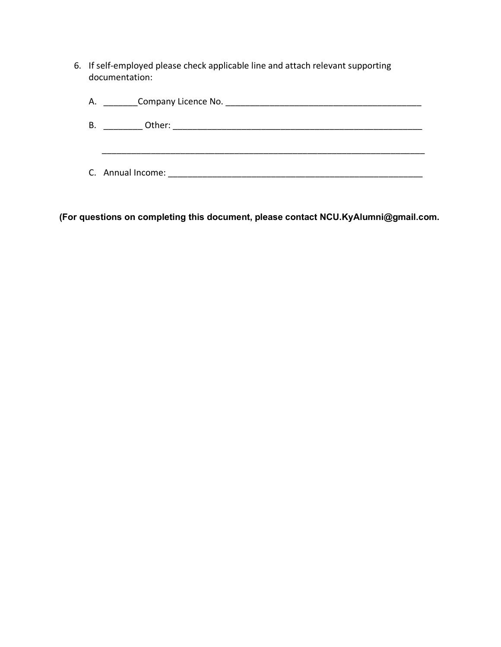6. If self-employed please check applicable line and attach relevant supporting documentation:

| Α. | Company Licence No. <b>Company</b> |
|----|------------------------------------|
| В. | Other:                             |
|    |                                    |
|    |                                    |
|    | C. Annual Income:                  |

**(For questions on completing this document, please contact NCU.KyAlumni@gmail.com.**